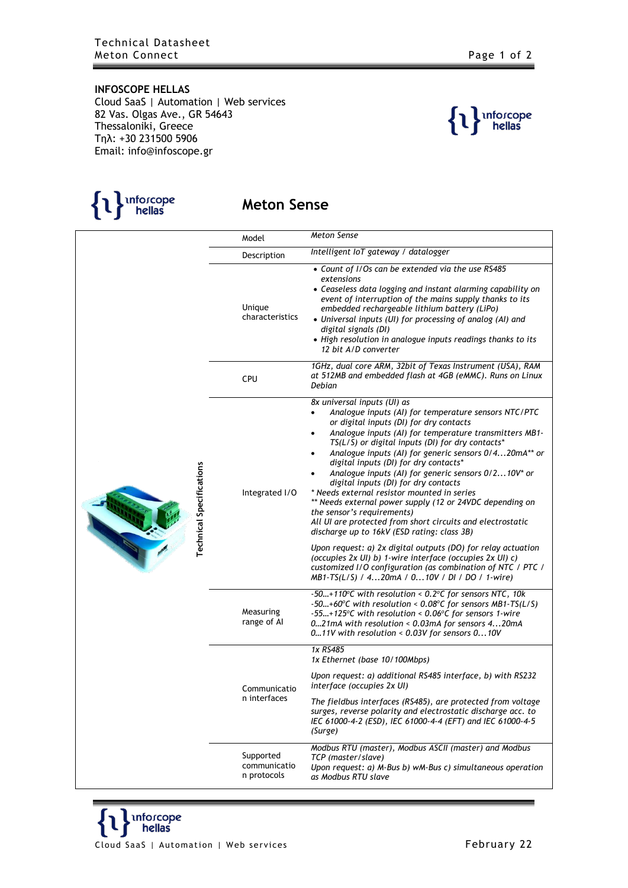

## **Meton Sense**

|  | <b>Technical Specifications</b> | Model                                    | Meton Sense                                                                                                                                                                                                                                                                                                                                                                                                                                                                                                                                                                                                                                                                                                                                                                                                                                                                                                                                                                |
|--|---------------------------------|------------------------------------------|----------------------------------------------------------------------------------------------------------------------------------------------------------------------------------------------------------------------------------------------------------------------------------------------------------------------------------------------------------------------------------------------------------------------------------------------------------------------------------------------------------------------------------------------------------------------------------------------------------------------------------------------------------------------------------------------------------------------------------------------------------------------------------------------------------------------------------------------------------------------------------------------------------------------------------------------------------------------------|
|  |                                 | Description                              | Intelligent IoT gateway / datalogger                                                                                                                                                                                                                                                                                                                                                                                                                                                                                                                                                                                                                                                                                                                                                                                                                                                                                                                                       |
|  |                                 | Unique<br>characteristics                | • Count of I/Os can be extended via the use RS485<br>extensions<br>• Ceaseless data logging and instant alarming capability on<br>event of interruption of the mains supply thanks to its<br>embedded rechargeable lithium battery (LiPo)<br>• Universal inputs (UI) for processing of analog (AI) and<br>digital signals (DI)<br>• High resolution in analogue inputs readings thanks to its<br>12 bit A/D converter                                                                                                                                                                                                                                                                                                                                                                                                                                                                                                                                                      |
|  |                                 | CPU                                      | 1GHz, dual core ARM, 32bit of Texas Instrument (USA), RAM<br>at 512MB and embedded flash at 4GB (eMMC). Runs on Linux<br>Debian                                                                                                                                                                                                                                                                                                                                                                                                                                                                                                                                                                                                                                                                                                                                                                                                                                            |
|  |                                 | Integrated I/O                           | 8x universal inputs (UI) as<br>Analogue inputs (AI) for temperature sensors NTC/PTC<br>$\bullet$<br>or digital inputs (DI) for dry contacts<br>Analogue inputs (Al) for temperature transmitters MB1-<br>$\bullet$<br>TS(L/S) or digital inputs (DI) for dry contacts*<br>Analogue inputs (Al) for generic sensors 0/420mA** or<br>digital inputs (DI) for dry contacts*<br>Analogue inputs (Al) for generic sensors 0/210V* or<br>digital inputs (DI) for dry contacts<br>* Needs external resistor mounted in series<br>** Needs external power supply (12 or 24VDC depending on<br>the sensor's requirements)<br>All UI are protected from short circuits and electrostatic<br>discharge up to 16kV (ESD rating: class 3B)<br>Upon request: a) 2x digital outputs (DO) for relay actuation<br>(occupies 2x UI) b) 1-wire interface (occupies 2x UI) c)<br>customized I/O configuration (as combination of NTC / PTC /<br>MB1-TS(L/S) / 420mA / 010V / DI / DO / 1-wire) |
|  |                                 | Measuring<br>range of Al                 | -50+110°C with resolution < $0.2$ °C for sensors NTC, 10k<br>$-50+60$ °C with resolution < 0.08°C for sensors MB1-TS(L/S)<br>$-55+125$ °C with resolution < 0.06°C for sensors 1-wire<br>021mA with resolution < 0.03mA for sensors 420mA<br>011V with resolution < 0.03V for sensors 010V                                                                                                                                                                                                                                                                                                                                                                                                                                                                                                                                                                                                                                                                                 |
|  |                                 | Communicatio<br>n interfaces             | 1x RS485<br>1x Ethernet (base 10/100Mbps)                                                                                                                                                                                                                                                                                                                                                                                                                                                                                                                                                                                                                                                                                                                                                                                                                                                                                                                                  |
|  |                                 |                                          | Upon request: a) additional RS485 interface, b) with RS232<br>interface (occupies 2x UI)                                                                                                                                                                                                                                                                                                                                                                                                                                                                                                                                                                                                                                                                                                                                                                                                                                                                                   |
|  |                                 |                                          | The fieldbus interfaces (RS485), are protected from voltage<br>surges, reverse polarity and electrostatic discharge acc. to<br>IEC 61000-4-2 (ESD), IEC 61000-4-4 (EFT) and IEC 61000-4-5<br>(Surge)                                                                                                                                                                                                                                                                                                                                                                                                                                                                                                                                                                                                                                                                                                                                                                       |
|  |                                 | Supported<br>communicatio<br>n protocols | Modbus RTU (master), Modbus ASCII (master) and Modbus<br>TCP (master/slave)<br>Upon request: a) M-Bus b) wM-Bus c) simultaneous operation<br>as Modbus RTU slave                                                                                                                                                                                                                                                                                                                                                                                                                                                                                                                                                                                                                                                                                                                                                                                                           |